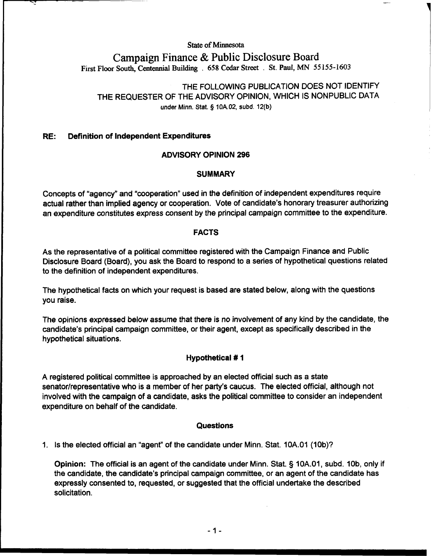**State of Minnesota** 

# **Campaign Finance** & **Public Disclosure Board First Floor South, Centennial Building** . **658 Cedar Street** . **St. Paul, MN 55155-1603**

THE FOLLOWING PUBLICATION DOES NOT IDENTIFY THE REQUESTER OF THE ADVISORY OPINION, WHICH IS NONPUBLIC DATA **under Minn. Stat. 9 10A.02, subd. 12(b)** 

# **RE: Definition of Independent Expenditures**

# **ADVISORY OPINION 296**

# **SUMMARY**

Concepts of "agency" and "cooperation" used in the definition of independent expenditures require actual rather than implied agency or cooperation. Vote of candidate's honorary treasurer authorizing an expenditure constitutes express consent by the principal campaign committee to the expenditure.

#### **FACTS**

As the representative of a political committee registered with the Campaign Finance and Public Disclosure Board (Board), you ask the Board to respond to a series of hypothetical questions related to the definition of independent expenditures.

The hypothetical facts on which your request is based are stated below, along with the questions you raise.

The opinions expressed below assume that there is no involvement of any kind by the candidate, the candidate's principal campaign committee, or their agent, except as specifically described in the hypothetical situations.

# **Hypothetical** # **1**

A registered political committee is approached by an elected official such as a state senator/representative who is a member of her party's caucus. The elected official, although not involved with the campaign of a candidate, asks the political committee to consider an independent expenditure on behalf of the candidate.

# **Questions**

1. Is the elected official an "agent" of the candidate under Minn. Stat. 10A.01 (10b)?

**Opinion:** The official is an agent of the candidate under Minn. Stat. § 10A.01, subd. 10b, only if the candidate, the candidate's principal campaign committee, or an agent of the candidate has expressly consented to, requested, or suggested that the official undertake the described solicitation.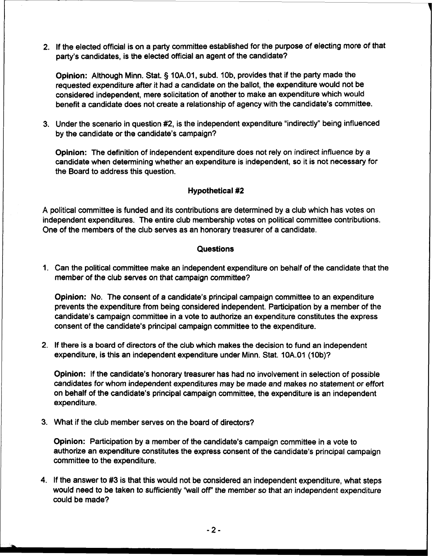2. If the elected official is on a party committee established for the purpose of electing more of that party's candidates, is the elected official an agent of the candidate?

**Opinion:** Although Minn. Stat. § 10A.01, subd. 10b, provides that if the party made the requested expenditure after it had a candidate on the ballot, the expenditure would not be considered independent, mere solicitation of another to make an expenditure which would benefit a candidate does not create a relationship of agency with the candidate's committee.

3. Under the scenario in question #2, is the independent expenditure "indirectly" being influenced by the candidate or the candidate's campaign?

**Opinion:** The definition of independent expenditure does not rely on indirect influence by a candidate when determining whether an expenditure is independent, so it is not necessary for the Board to address this question.

#### **Hypothetical #2**

A political committee is funded and its contributions are determined by a club which has votes on independent expenditures. The entire club membership votes on political committee contributions. One of the members of the club serves as an honorary treasurer of a candidate.

#### **Questions**

1. Can the political committee make an independent expenditure on behalf of the candidate that the member of the club serves on that campaign committee?

**Opinion:** No. The consent of a candidate's principal campaign committee to an expenditure prevents the expenditure from being considered independent. Participation by a member of the candidate's campaign committee in a vote to authorize an expenditure constitutes the express consent of the candidate's principal campaign committee to the expenditure.

2. If there is a board of directors of the club which makes the decision to fund an independent expenditure, is this an independent expenditure under Minn. Stat. 10A.01 (10b)?

**Opinion:** If the candidate's honorary treasurer has had no involvement in selection of possible candidates for whom independent expenditures may be made and makes no statement or effort on behalf of the candidate's principal campaign committee, the expenditure is an independent expenditure.

3. What if the club member serves on the board of directors?

**Opinion:** Participation by a member of the candidate's campaign committee in a vote to authorize an expenditure constitutes the express consent of the candidate's principal campaign committee to the expenditure.

4. If the answer to #3 is that this would not be considered an independent expenditure, what steps would need to be taken to sufficiently "wall off' the member so that an independent expenditure could be made?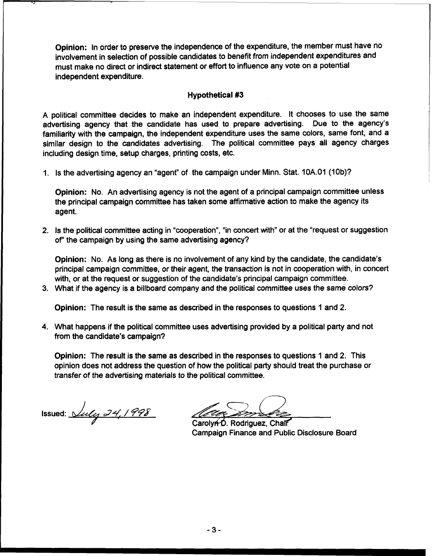Opinion: In order to preserve the independence of the expenditure, the member must have no involvement in selection of possible candidates to benefit from independent expenditures and must make no direct or indirect statement or effort to influence any vote on a potential independent expenditure.

#### Hypothetical **#3**

A political committee decides to make an independent expenditure. It chooses to use the same advertising agency that the candidate has used to prepare advertising. Due to the agency's familiarity with the campaign, the independent expenditure uses the same colors, same font, and a similar design to the candidates advertising. The political committee pays all agency charges including design time, setup charges, printing costs, etc.

1. Is the advertising agency an "agent" of the campaign under Minn. Stat. 10A.01 (10b)?

Opinion: No. An advertising agency is not the agent of a principal campaign committee unless the principal campaign committee has taken some affirmative action to make the agency its agent.

2. Is the political committee acting in "cooperation", "in concert with" or at the "request or suggestion of' the campaign by using the same advertising agency?

Opinion: No. As long as there is no involvement of any kind by the candidate, the candidate's principal campaign committee, or their agent, the transaction is not in cooperation with, in concert with, or at the request or suggestion of the candidate's principal campaign committee.

3. What if the agency is a billboard company and the political committee uses the same colors?

Opinion: The result is the same as described in the responses to questions 1 and 2.

4. What happens if the political committee uses advertising provided by a political party and not from the candidate's campaign?

Opinion: The result is the same as described in the responses to questions 1 and 2. This opinion does not address the question of how the political party should treat the purchase or transfer of the advertising materials to the political committee. transfer of the advertising materials to the political committee.<br>ssued:<br>Simple 24, 1998<br>CarolyAD. Rodriguez, Chair

Carolyn D. Rodriguez, Chalf Campaign Finance and Public Disclosure Board